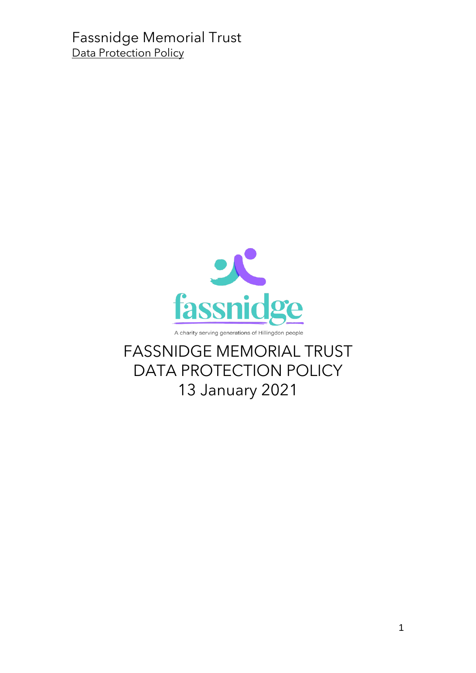

FASSNIDGE MEMORIAL TRUST DATA PROTECTION POLICY 13 January 2021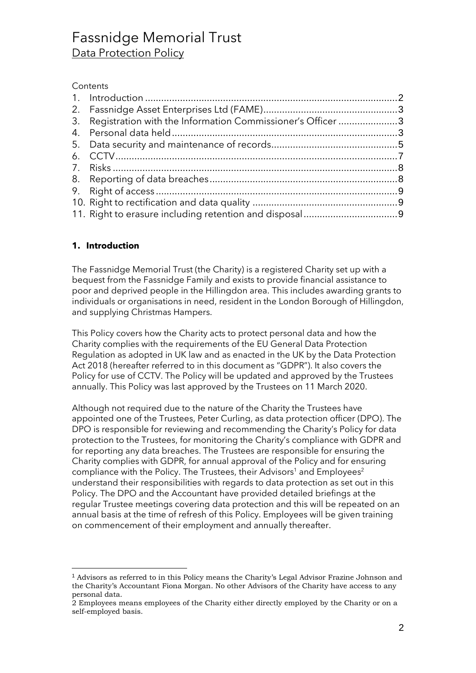#### **Contents**

| 3. Registration with the Information Commissioner's Officer 3 |  |
|---------------------------------------------------------------|--|
|                                                               |  |
|                                                               |  |
|                                                               |  |
|                                                               |  |
|                                                               |  |
|                                                               |  |
|                                                               |  |
|                                                               |  |
|                                                               |  |

#### <span id="page-1-0"></span>**1. Introduction**

The Fassnidge Memorial Trust (the Charity) is a registered Charity set up with a bequest from the Fassnidge Family and exists to provide financial assistance to poor and deprived people in the Hillingdon area. This includes awarding grants to individuals or organisations in need, resident in the London Borough of Hillingdon, and supplying Christmas Hampers.

This Policy covers how the Charity acts to protect personal data and how the Charity complies with the requirements of the EU General Data Protection Regulation as adopted in UK law and as enacted in the UK by the Data Protection Act 2018 (hereafter referred to in this document as "GDPR"). It also covers the Policy for use of CCTV. The Policy will be updated and approved by the Trustees annually. This Policy was last approved by the Trustees on 11 March 2020.

Although not required due to the nature of the Charity the Trustees have appointed one of the Trustees, Peter Curling, as data protection officer (DPO). The DPO is responsible for reviewing and recommending the Charity's Policy for data protection to the Trustees, for monitoring the Charity's compliance with GDPR and for reporting any data breaches. The Trustees are responsible for ensuring the Charity complies with GDPR, for annual approval of the Policy and for ensuring compliance with the Policy. The Trustees, their Advisors<sup>1</sup> and Employees<sup>2</sup> understand their responsibilities with regards to data protection as set out in this Policy. The DPO and the Accountant have provided detailed briefings at the regular Trustee meetings covering data protection and this will be repeated on an annual basis at the time of refresh of this Policy. Employees will be given training on commencement of their employment and annually thereafter.

<sup>1</sup> Advisors as referred to in this Policy means the Charity's Legal Advisor Frazine Johnson and the Charity's Accountant Fiona Morgan. No other Advisors of the Charity have access to any personal data.

<sup>2</sup> Employees means employees of the Charity either directly employed by the Charity or on a self-employed basis.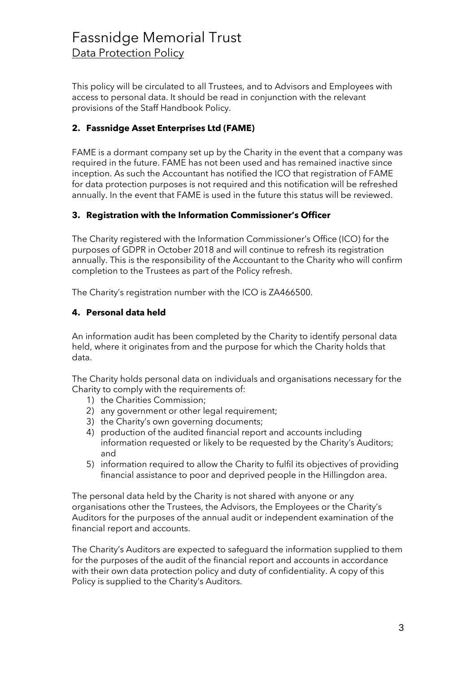This policy will be circulated to all Trustees, and to Advisors and Employees with access to personal data. It should be read in conjunction with the relevant provisions of the Staff Handbook Policy.

#### <span id="page-2-0"></span>**2. Fassnidge Asset Enterprises Ltd (FAME)**

FAME is a dormant company set up by the Charity in the event that a company was required in the future. FAME has not been used and has remained inactive since inception. As such the Accountant has notified the ICO that registration of FAME for data protection purposes is not required and this notification will be refreshed annually. In the event that FAME is used in the future this status will be reviewed.

#### <span id="page-2-1"></span>**3. Registration with the Information Commissioner's Officer**

The Charity registered with the Information Commissioner's Office (ICO) for the purposes of GDPR in October 2018 and will continue to refresh its registration annually. This is the responsibility of the Accountant to the Charity who will confirm completion to the Trustees as part of the Policy refresh.

The Charity's registration number with the ICO is ZA466500.

#### <span id="page-2-2"></span>**4. Personal data held**

An information audit has been completed by the Charity to identify personal data held, where it originates from and the purpose for which the Charity holds that data.

The Charity holds personal data on individuals and organisations necessary for the Charity to comply with the requirements of:

- 1) the Charities Commission;
- 2) any government or other legal requirement;
- 3) the Charity's own governing documents;
- 4) production of the audited financial report and accounts including information requested or likely to be requested by the Charity's Auditors; and
- 5) information required to allow the Charity to fulfil its objectives of providing financial assistance to poor and deprived people in the Hillingdon area.

The personal data held by the Charity is not shared with anyone or any organisations other the Trustees, the Advisors, the Employees or the Charity's Auditors for the purposes of the annual audit or independent examination of the financial report and accounts.

The Charity's Auditors are expected to safeguard the information supplied to them for the purposes of the audit of the financial report and accounts in accordance with their own data protection policy and duty of confidentiality. A copy of this Policy is supplied to the Charity's Auditors.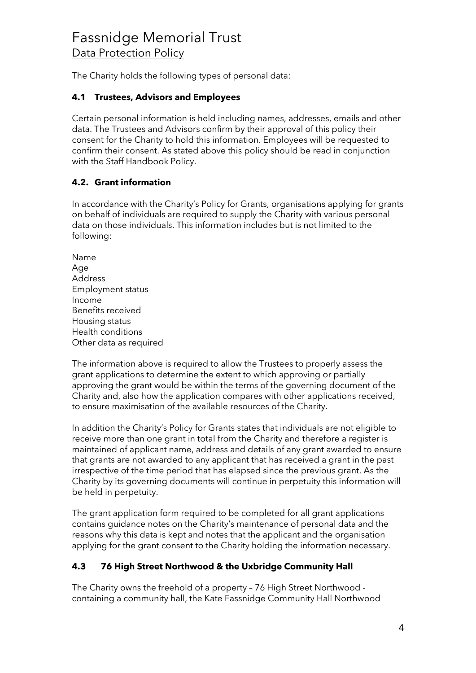The Charity holds the following types of personal data:

#### **4.1 Trustees, Advisors and Employees**

Certain personal information is held including names, addresses, emails and other data. The Trustees and Advisors confirm by their approval of this policy their consent for the Charity to hold this information. Employees will be requested to confirm their consent. As stated above this policy should be read in conjunction with the Staff Handbook Policy.

#### **4.2. Grant information**

In accordance with the Charity's Policy for Grants, organisations applying for grants on behalf of individuals are required to supply the Charity with various personal data on those individuals. This information includes but is not limited to the following:

Name Age Address Employment status Income Benefits received Housing status Health conditions Other data as required

The information above is required to allow the Trustees to properly assess the grant applications to determine the extent to which approving or partially approving the grant would be within the terms of the governing document of the Charity and, also how the application compares with other applications received, to ensure maximisation of the available resources of the Charity.

In addition the Charity's Policy for Grants states that individuals are not eligible to receive more than one grant in total from the Charity and therefore a register is maintained of applicant name, address and details of any grant awarded to ensure that grants are not awarded to any applicant that has received a grant in the past irrespective of the time period that has elapsed since the previous grant. As the Charity by its governing documents will continue in perpetuity this information will be held in perpetuity.

The grant application form required to be completed for all grant applications contains guidance notes on the Charity's maintenance of personal data and the reasons why this data is kept and notes that the applicant and the organisation applying for the grant consent to the Charity holding the information necessary.

### **4.3 76 High Street Northwood & the Uxbridge Community Hall**

The Charity owns the freehold of a property – 76 High Street Northwood containing a community hall, the Kate Fassnidge Community Hall Northwood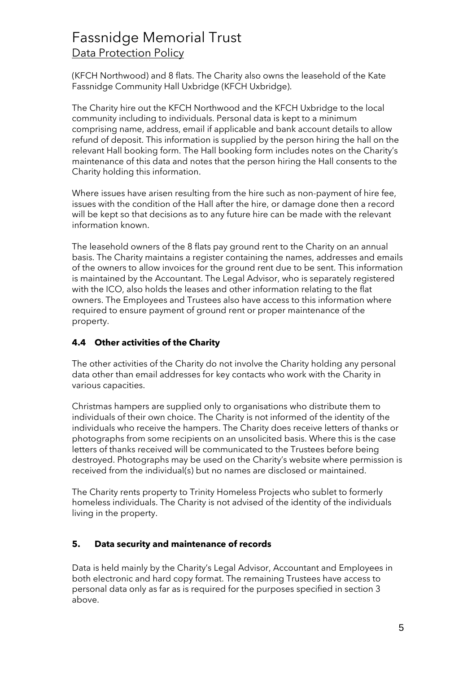(KFCH Northwood) and 8 flats. The Charity also owns the leasehold of the Kate Fassnidge Community Hall Uxbridge (KFCH Uxbridge).

The Charity hire out the KFCH Northwood and the KFCH Uxbridge to the local community including to individuals. Personal data is kept to a minimum comprising name, address, email if applicable and bank account details to allow refund of deposit. This information is supplied by the person hiring the hall on the relevant Hall booking form. The Hall booking form includes notes on the Charity's maintenance of this data and notes that the person hiring the Hall consents to the Charity holding this information.

Where issues have arisen resulting from the hire such as non-payment of hire fee, issues with the condition of the Hall after the hire, or damage done then a record will be kept so that decisions as to any future hire can be made with the relevant information known.

The leasehold owners of the 8 flats pay ground rent to the Charity on an annual basis. The Charity maintains a register containing the names, addresses and emails of the owners to allow invoices for the ground rent due to be sent. This information is maintained by the Accountant. The Legal Advisor, who is separately registered with the ICO, also holds the leases and other information relating to the flat owners. The Employees and Trustees also have access to this information where required to ensure payment of ground rent or proper maintenance of the property.

#### **4.4 Other activities of the Charity**

The other activities of the Charity do not involve the Charity holding any personal data other than email addresses for key contacts who work with the Charity in various capacities.

Christmas hampers are supplied only to organisations who distribute them to individuals of their own choice. The Charity is not informed of the identity of the individuals who receive the hampers. The Charity does receive letters of thanks or photographs from some recipients on an unsolicited basis. Where this is the case letters of thanks received will be communicated to the Trustees before being destroyed. Photographs may be used on the Charity's website where permission is received from the individual(s) but no names are disclosed or maintained.

The Charity rents property to Trinity Homeless Projects who sublet to formerly homeless individuals. The Charity is not advised of the identity of the individuals living in the property.

#### <span id="page-4-0"></span>**5. Data security and maintenance of records**

Data is held mainly by the Charity's Legal Advisor, Accountant and Employees in both electronic and hard copy format. The remaining Trustees have access to personal data only as far as is required for the purposes specified in section 3 above.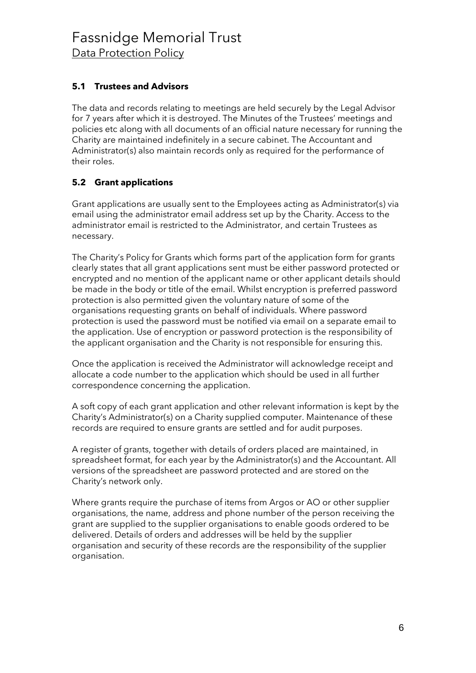#### **5.1 Trustees and Advisors**

The data and records relating to meetings are held securely by the Legal Advisor for 7 years after which it is destroyed. The Minutes of the Trustees' meetings and policies etc along with all documents of an official nature necessary for running the Charity are maintained indefinitely in a secure cabinet. The Accountant and Administrator(s) also maintain records only as required for the performance of their roles.

### **5.2 Grant applications**

Grant applications are usually sent to the Employees acting as Administrator(s) via email using the administrator email address set up by the Charity. Access to the administrator email is restricted to the Administrator, and certain Trustees as necessary.

The Charity's Policy for Grants which forms part of the application form for grants clearly states that all grant applications sent must be either password protected or encrypted and no mention of the applicant name or other applicant details should be made in the body or title of the email. Whilst encryption is preferred password protection is also permitted given the voluntary nature of some of the organisations requesting grants on behalf of individuals. Where password protection is used the password must be notified via email on a separate email to the application. Use of encryption or password protection is the responsibility of the applicant organisation and the Charity is not responsible for ensuring this.

Once the application is received the Administrator will acknowledge receipt and allocate a code number to the application which should be used in all further correspondence concerning the application.

A soft copy of each grant application and other relevant information is kept by the Charity's Administrator(s) on a Charity supplied computer. Maintenance of these records are required to ensure grants are settled and for audit purposes.

A register of grants, together with details of orders placed are maintained, in spreadsheet format, for each year by the Administrator(s) and the Accountant. All versions of the spreadsheet are password protected and are stored on the Charity's network only.

Where grants require the purchase of items from Argos or AO or other supplier organisations, the name, address and phone number of the person receiving the grant are supplied to the supplier organisations to enable goods ordered to be delivered. Details of orders and addresses will be held by the supplier organisation and security of these records are the responsibility of the supplier organisation.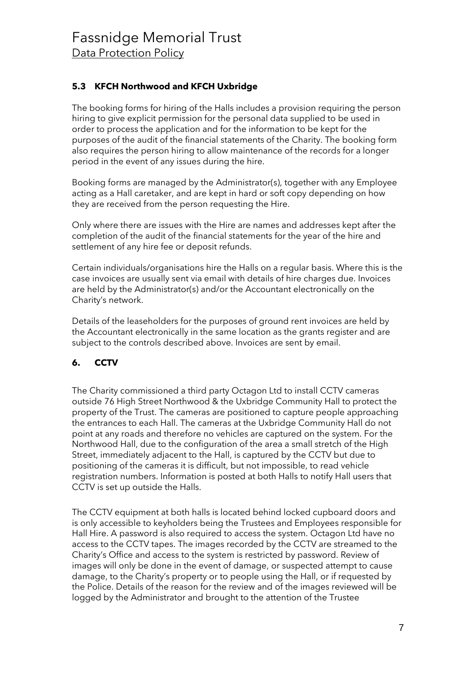### **5.3 KFCH Northwood and KFCH Uxbridge**

The booking forms for hiring of the Halls includes a provision requiring the person hiring to give explicit permission for the personal data supplied to be used in order to process the application and for the information to be kept for the purposes of the audit of the financial statements of the Charity. The booking form also requires the person hiring to allow maintenance of the records for a longer period in the event of any issues during the hire.

Booking forms are managed by the Administrator(s), together with any Employee acting as a Hall caretaker, and are kept in hard or soft copy depending on how they are received from the person requesting the Hire.

Only where there are issues with the Hire are names and addresses kept after the completion of the audit of the financial statements for the year of the hire and settlement of any hire fee or deposit refunds.

Certain individuals/organisations hire the Halls on a regular basis. Where this is the case invoices are usually sent via email with details of hire charges due. Invoices are held by the Administrator(s) and/or the Accountant electronically on the Charity's network.

Details of the leaseholders for the purposes of ground rent invoices are held by the Accountant electronically in the same location as the grants register and are subject to the controls described above. Invoices are sent by email.

### <span id="page-6-0"></span>**6. CCTV**

The Charity commissioned a third party Octagon Ltd to install CCTV cameras outside 76 High Street Northwood & the Uxbridge Community Hall to protect the property of the Trust. The cameras are positioned to capture people approaching the entrances to each Hall. The cameras at the Uxbridge Community Hall do not point at any roads and therefore no vehicles are captured on the system. For the Northwood Hall, due to the configuration of the area a small stretch of the High Street, immediately adjacent to the Hall, is captured by the CCTV but due to positioning of the cameras it is difficult, but not impossible, to read vehicle registration numbers. Information is posted at both Halls to notify Hall users that CCTV is set up outside the Halls.

The CCTV equipment at both halls is located behind locked cupboard doors and is only accessible to keyholders being the Trustees and Employees responsible for Hall Hire. A password is also required to access the system. Octagon Ltd have no access to the CCTV tapes. The images recorded by the CCTV are streamed to the Charity's Office and access to the system is restricted by password. Review of images will only be done in the event of damage, or suspected attempt to cause damage, to the Charity's property or to people using the Hall, or if requested by the Police. Details of the reason for the review and of the images reviewed will be logged by the Administrator and brought to the attention of the Trustee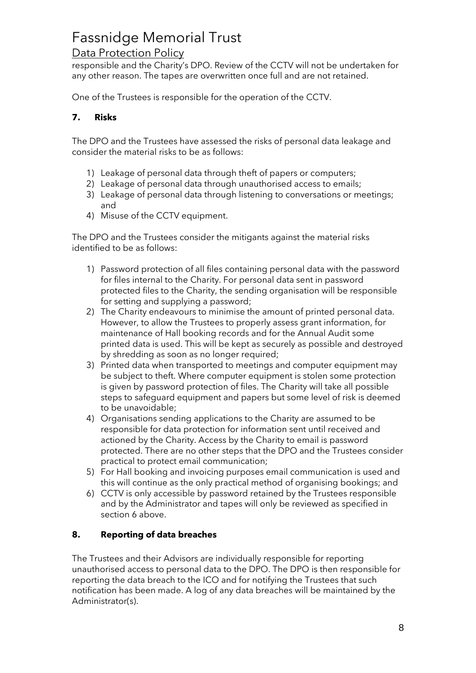# Fassnidge Memorial Trust

## Data Protection Policy

responsible and the Charity's DPO. Review of the CCTV will not be undertaken for any other reason. The tapes are overwritten once full and are not retained.

One of the Trustees is responsible for the operation of the CCTV.

#### <span id="page-7-0"></span>**7. Risks**

The DPO and the Trustees have assessed the risks of personal data leakage and consider the material risks to be as follows:

- 1) Leakage of personal data through theft of papers or computers;
- 2) Leakage of personal data through unauthorised access to emails;
- 3) Leakage of personal data through listening to conversations or meetings; and
- 4) Misuse of the CCTV equipment.

The DPO and the Trustees consider the mitigants against the material risks identified to be as follows:

- 1) Password protection of all files containing personal data with the password for files internal to the Charity. For personal data sent in password protected files to the Charity, the sending organisation will be responsible for setting and supplying a password;
- 2) The Charity endeavours to minimise the amount of printed personal data. However, to allow the Trustees to properly assess grant information, for maintenance of Hall booking records and for the Annual Audit some printed data is used. This will be kept as securely as possible and destroyed by shredding as soon as no longer required;
- 3) Printed data when transported to meetings and computer equipment may be subject to theft. Where computer equipment is stolen some protection is given by password protection of files. The Charity will take all possible steps to safeguard equipment and papers but some level of risk is deemed to be unavoidable;
- 4) Organisations sending applications to the Charity are assumed to be responsible for data protection for information sent until received and actioned by the Charity. Access by the Charity to email is password protected. There are no other steps that the DPO and the Trustees consider practical to protect email communication;
- 5) For Hall booking and invoicing purposes email communication is used and this will continue as the only practical method of organising bookings; and
- 6) CCTV is only accessible by password retained by the Trustees responsible and by the Administrator and tapes will only be reviewed as specified in section 6 above.

#### <span id="page-7-1"></span>**8. Reporting of data breaches**

The Trustees and their Advisors are individually responsible for reporting unauthorised access to personal data to the DPO. The DPO is then responsible for reporting the data breach to the ICO and for notifying the Trustees that such notification has been made. A log of any data breaches will be maintained by the Administrator(s).